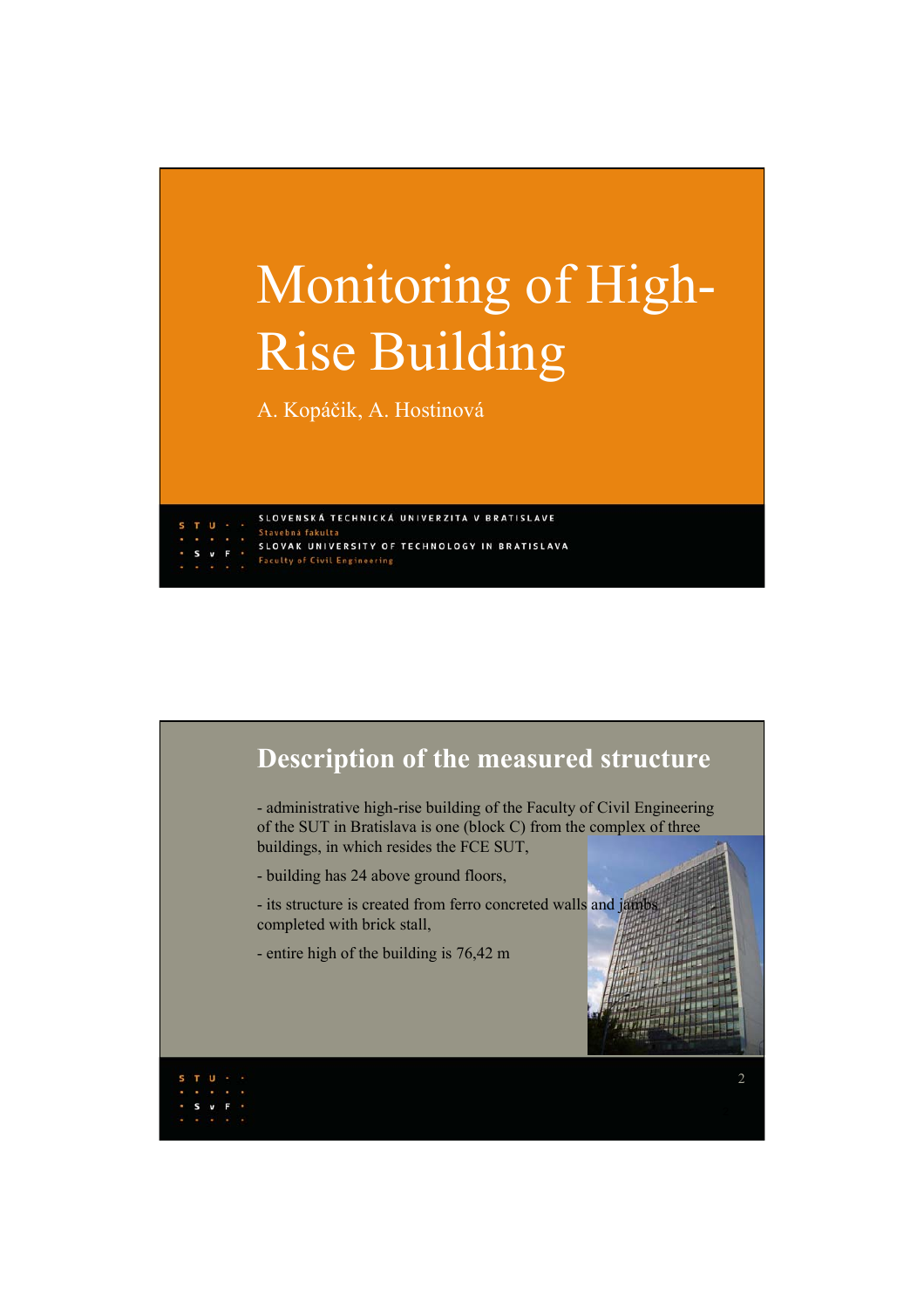## Monitoring of High-Rise Building

A. Kopáčik, A. Hostinová

SLOVENSKÁ TECHNICKÁ UNIVERZITA V BRATISLAVE Stavebná fakul SLOVAK UNIVERSITY OF TECHNOLOGY IN BRATISLAVA **Faculty of Civil Engineering** 

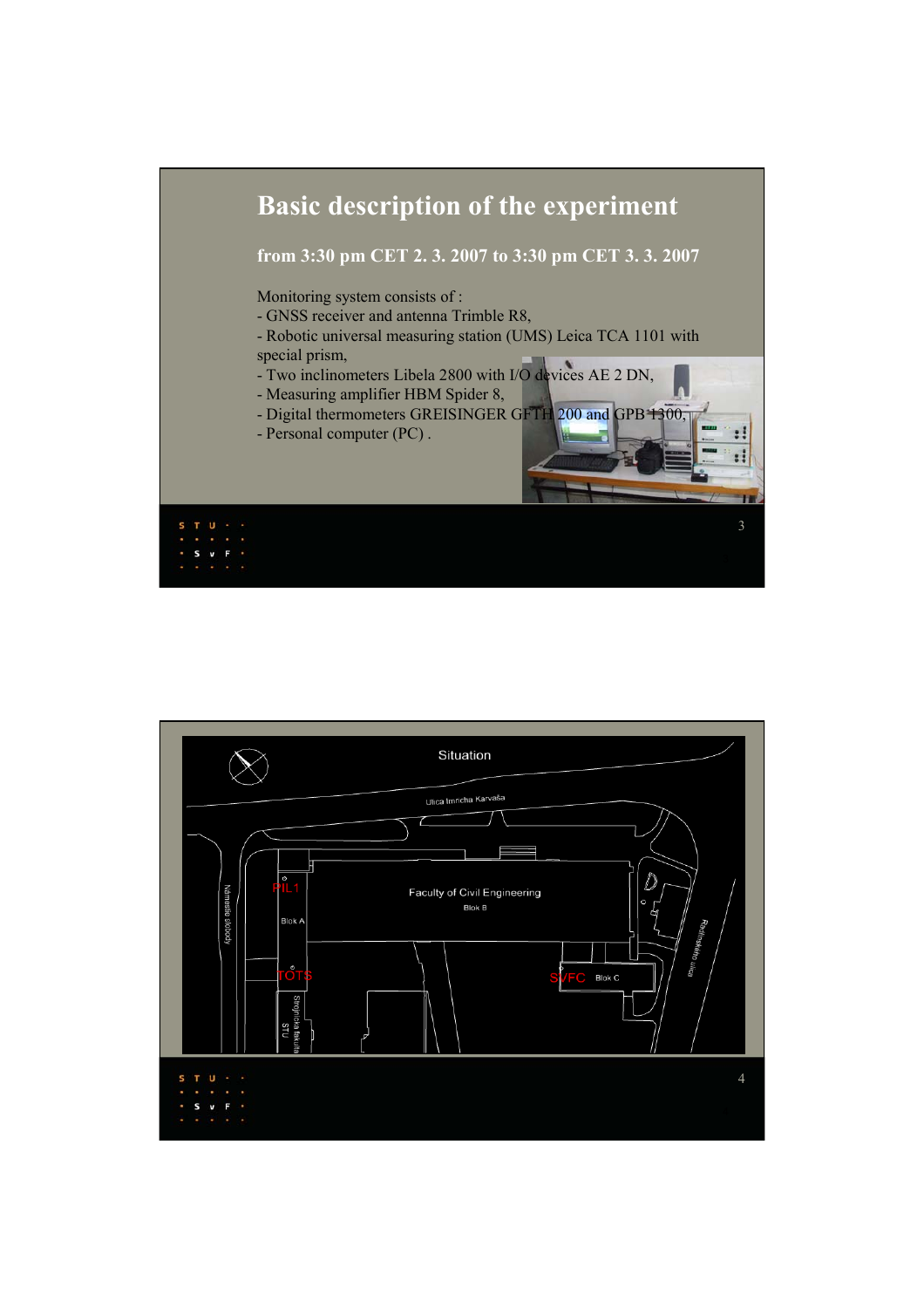

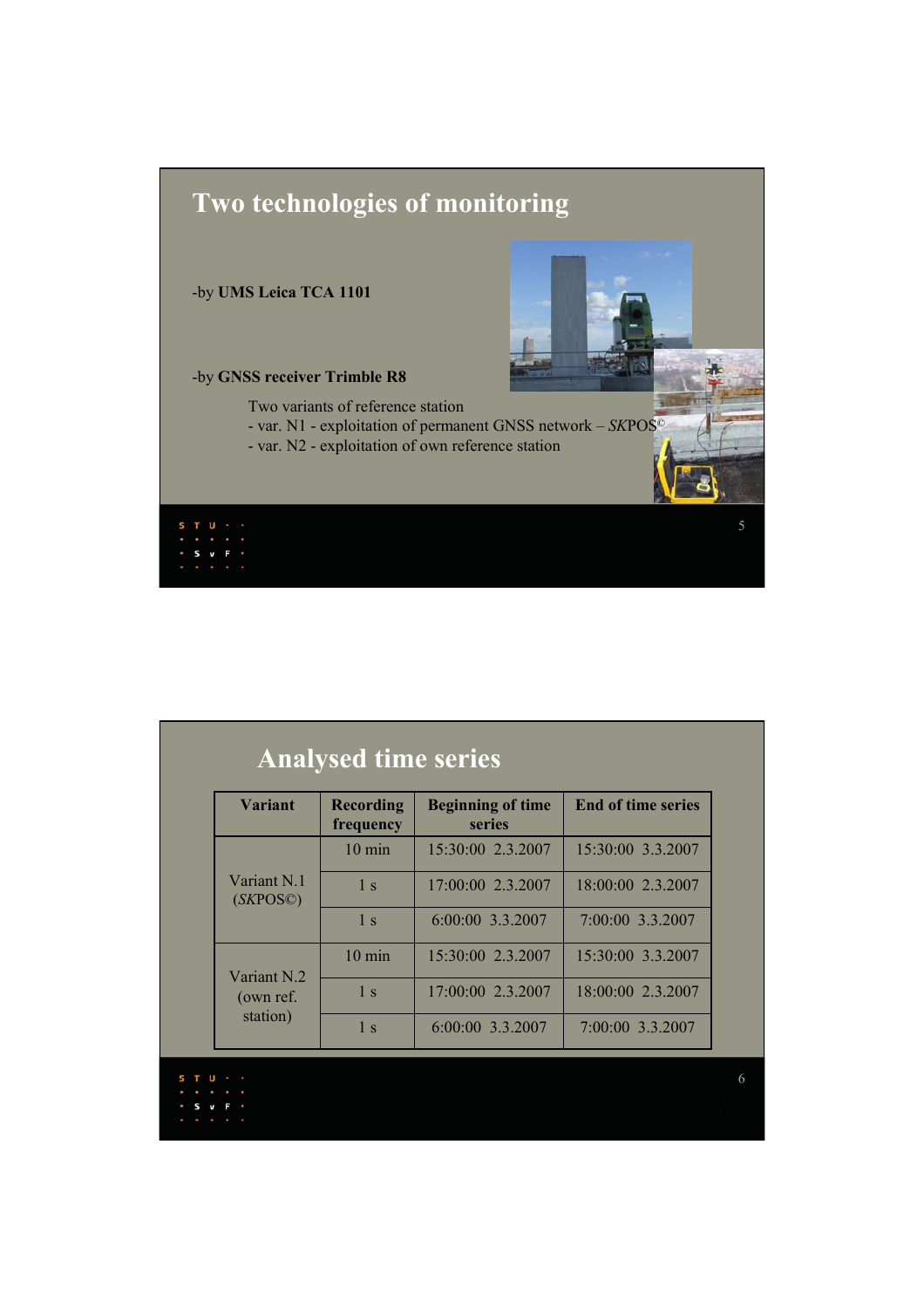

| <b>Variant</b>                       | <b>Recording</b><br>frequency | <b>Beginning of time</b><br>series | <b>End of time series</b> |
|--------------------------------------|-------------------------------|------------------------------------|---------------------------|
| Variant N.1<br>(SKPOS@)              | $10 \text{ min}$              | 15:30:00 2.3.2007                  | 15:30:00 3.3.2007         |
|                                      | 1 <sub>s</sub>                | 17:00:00 2.3.2007                  | 18:00:00 2.3.2007         |
|                                      | $\overline{1}$ s              | 6:00:00 3.3.2007                   | 7:00:00 3.3.2007          |
|                                      | $10 \text{ min}$              | 15:30:00 2.3.2007                  | 15:30:00 3.3.2007         |
| Variant N.2<br>(own ref.<br>station) | 1 <sub>s</sub>                | 17:00:00 2.3.2007                  | 18:00:00 2.3.2007         |
|                                      | 1 <sub>s</sub>                | 6:00:00 3.3.2007                   | 7:00:00 3.3.2007          |

 $\begin{array}{cccccccccc} \ast & \mathsf{S} & \mathsf{v} & \mathsf{F} & \ast \\ \ast & \ast & \ast & \ast & \ast \end{array}$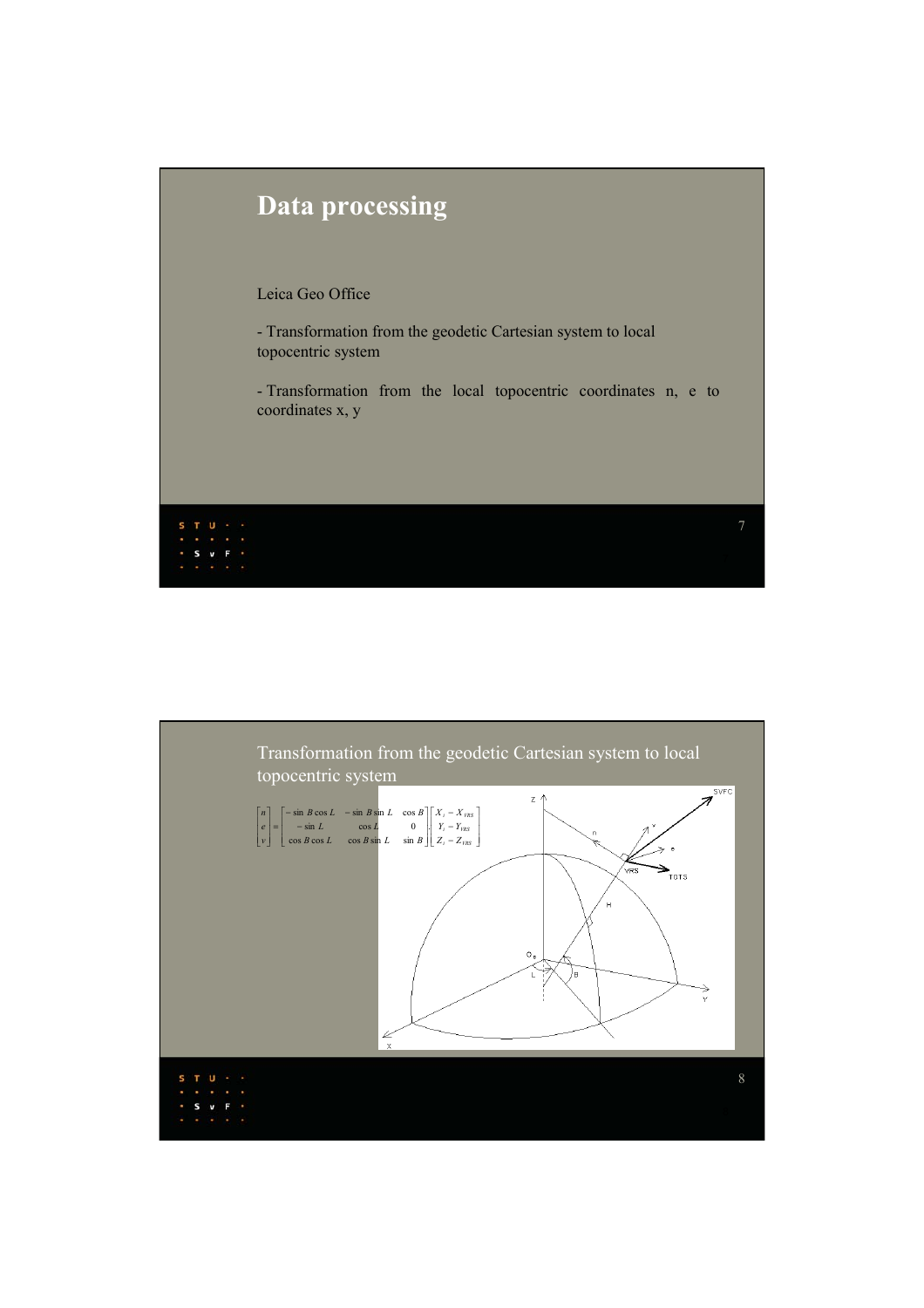

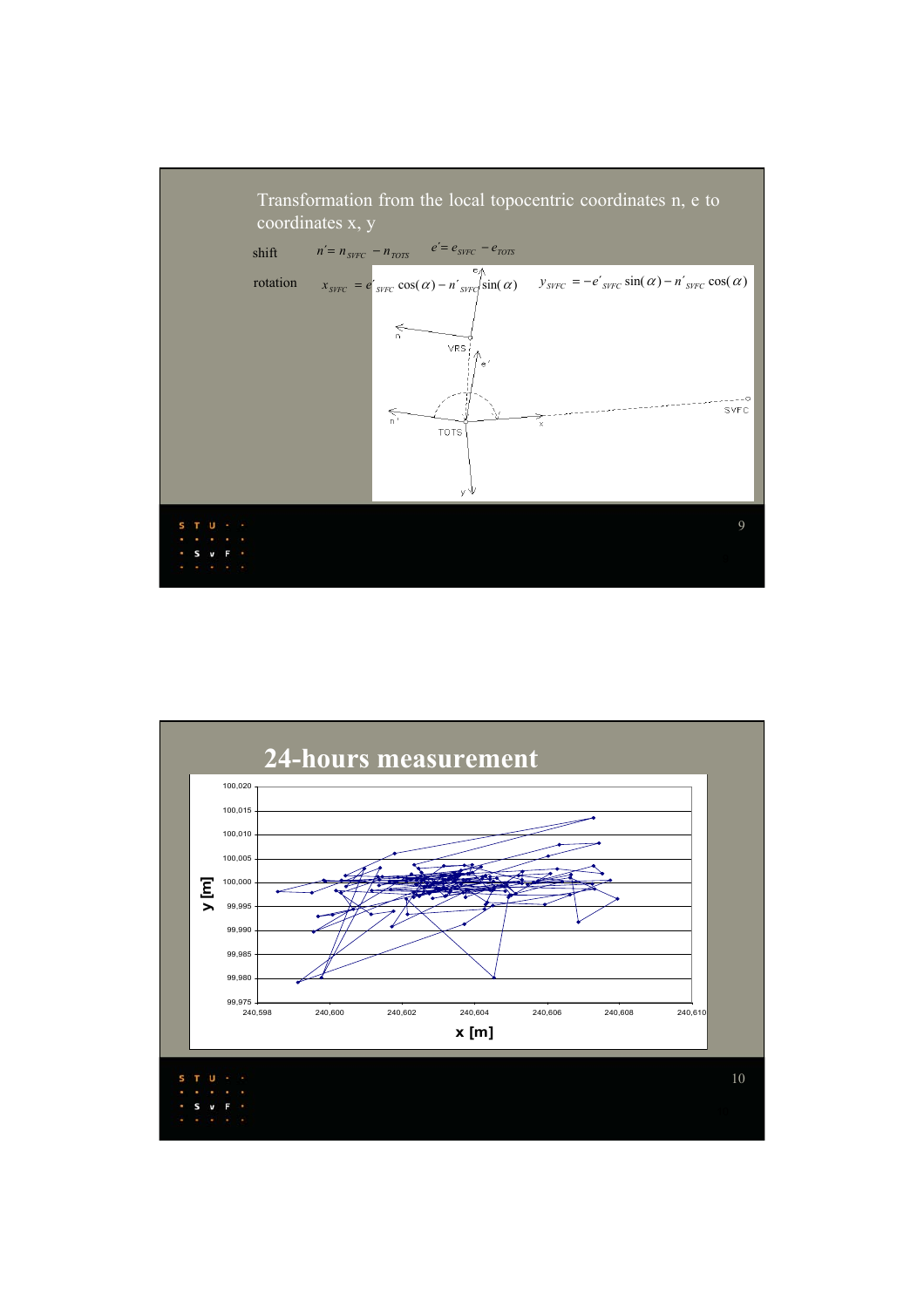

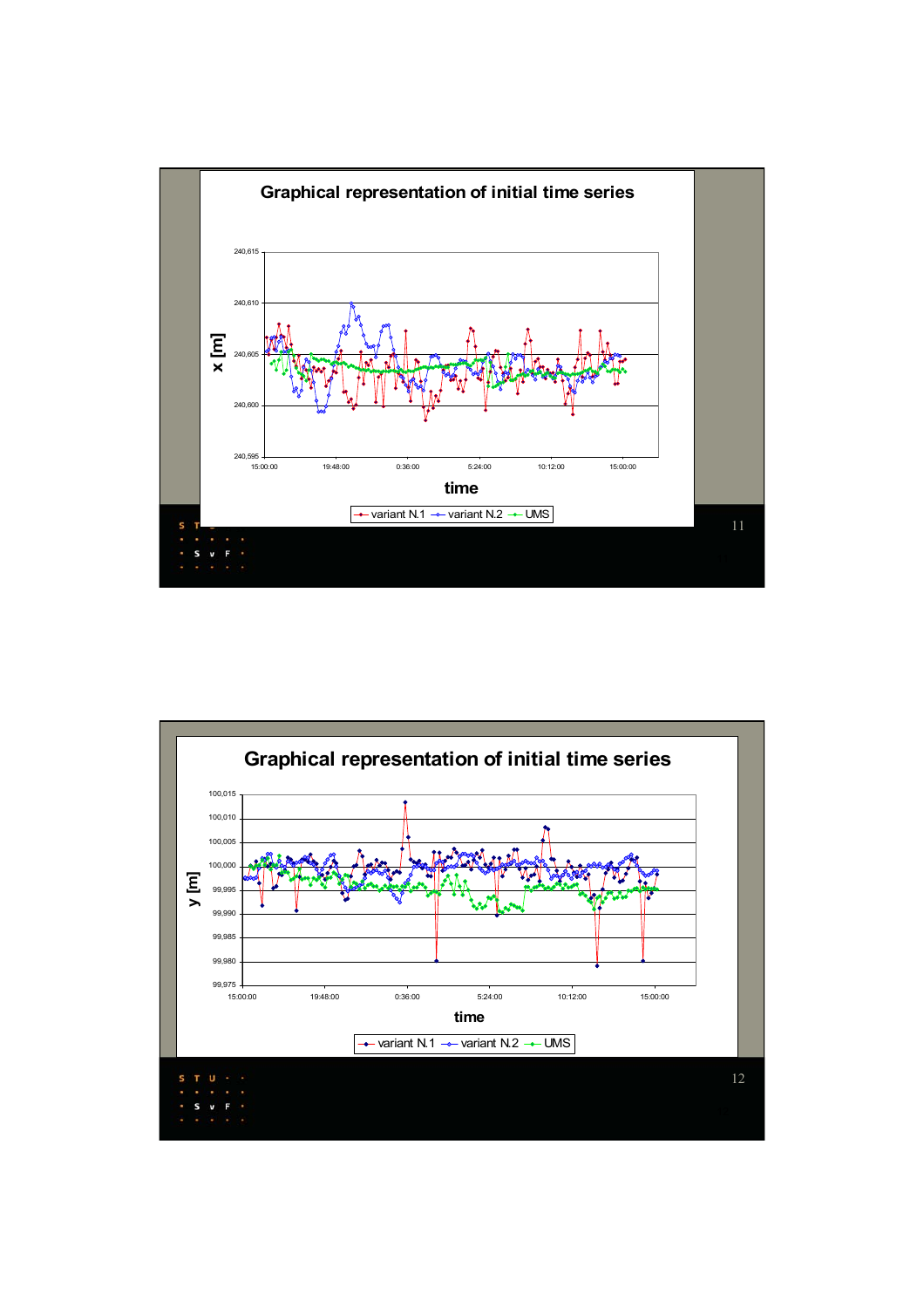

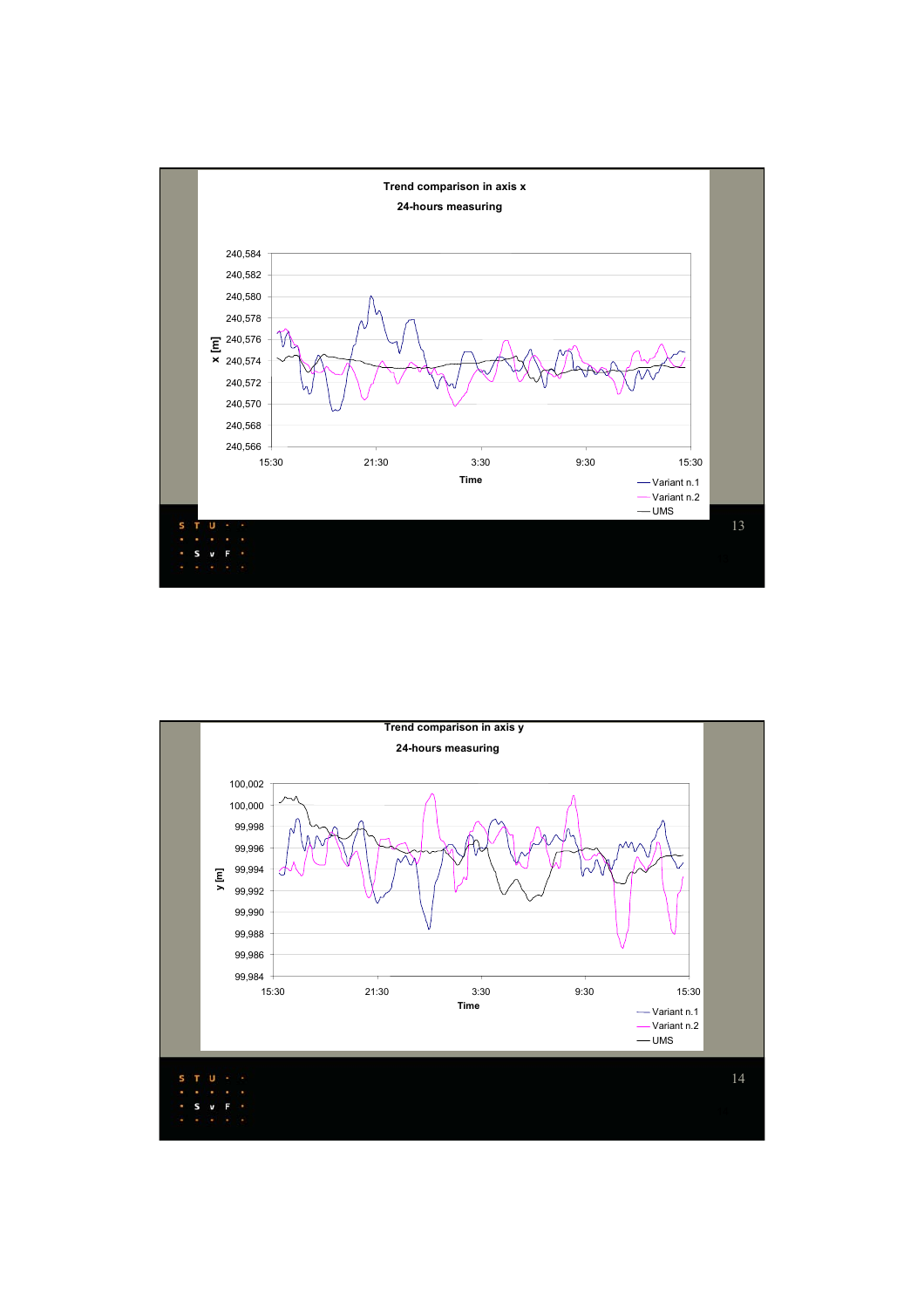

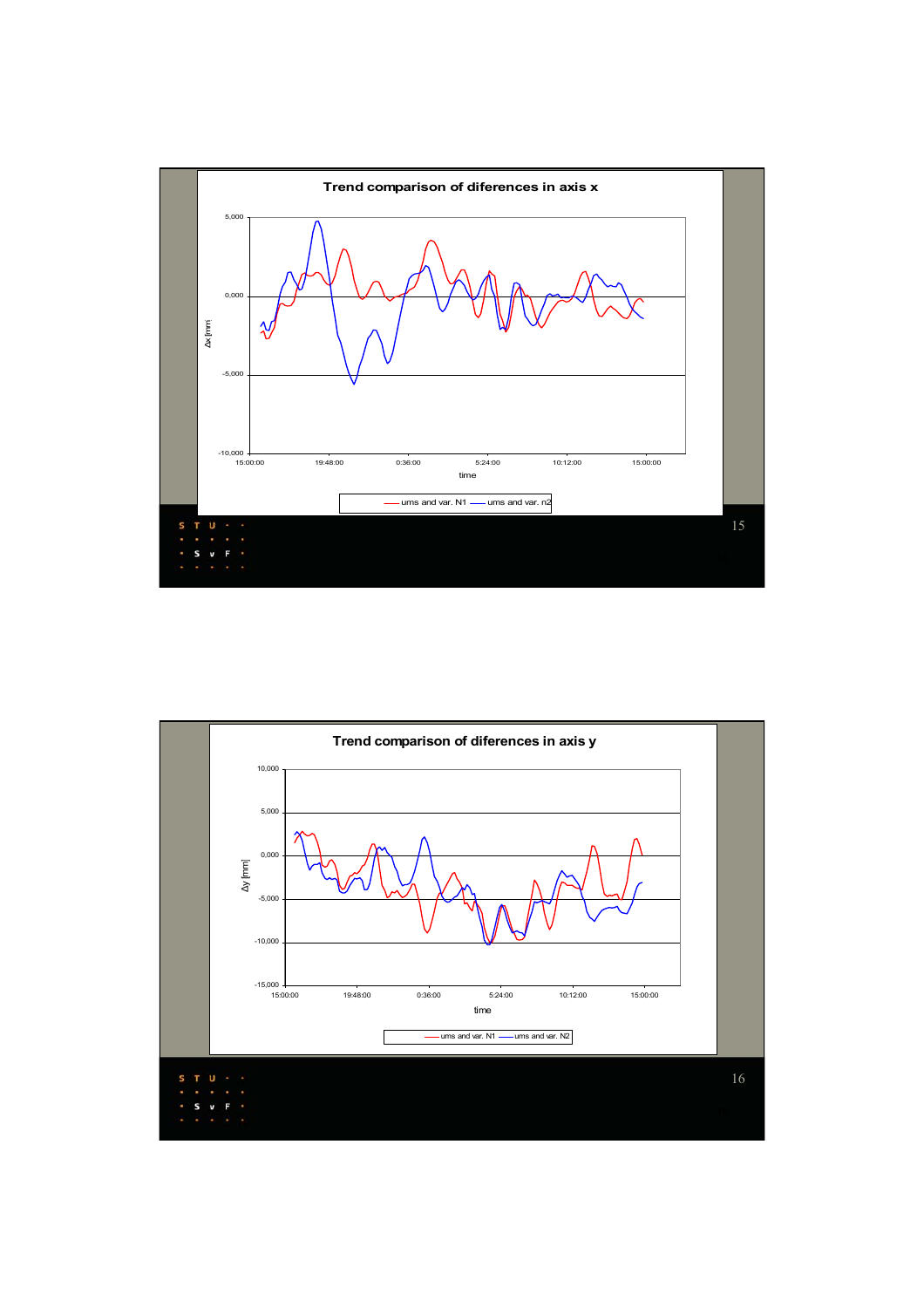

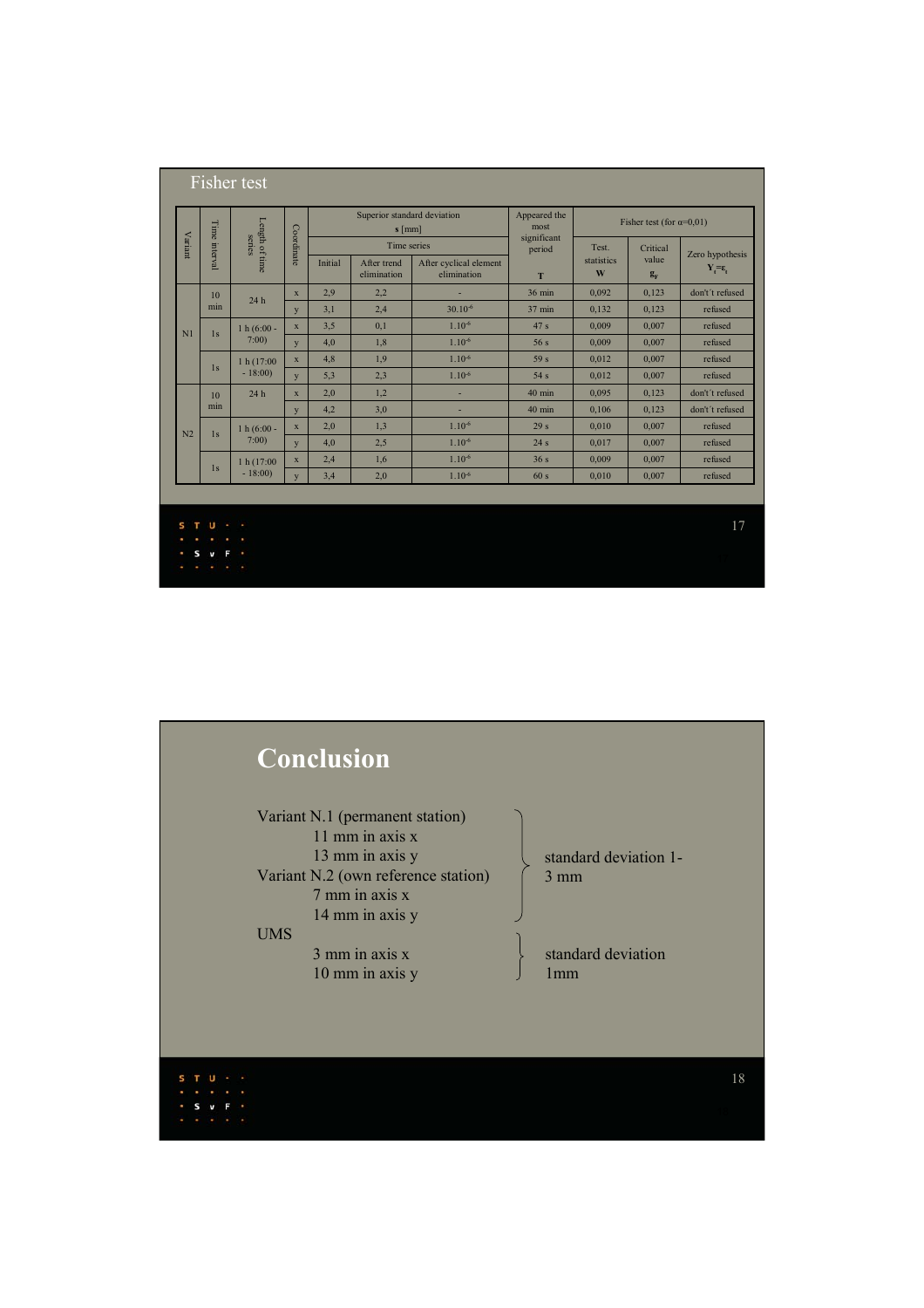| Variant        | Length of time<br>Time interval<br>series |                        | Coordinate              | Superior standard deviation<br>$s$ [mm] |                                           |                                       | Appeared the<br>most       | Fisher test (for $\alpha=0.01$ ) |                            |                                          |
|----------------|-------------------------------------------|------------------------|-------------------------|-----------------------------------------|-------------------------------------------|---------------------------------------|----------------------------|----------------------------------|----------------------------|------------------------------------------|
|                |                                           |                        |                         | Initial                                 | Time series<br>After trend<br>elimination | After cyclical element<br>elimination | significant<br>period<br>T | Test.<br>statistics<br>W         | Critical<br>value<br>$g_F$ | Zero hypothesis<br>$Y_t = \varepsilon_t$ |
|                | 10<br>24h<br>min                          |                        | $\overline{\mathbf{x}}$ | 2,9                                     | 2,2                                       |                                       | $36 \text{ min}$           | 0,092                            | 0,123                      | don't't refused                          |
|                |                                           |                        | y                       | 3,1                                     | 2,4                                       | $30.10^{-6}$                          | $37 \text{ min}$           | 0,132                            | 0,123                      | refused                                  |
| N <sub>1</sub> | 1s                                        | $1 h (6:00 -$          | $\mathbf X$             | 3,5                                     | 0,1                                       | $1.10^{-6}$                           | 47 <sub>s</sub>            | 0.009                            | 0.007                      | refused                                  |
|                |                                           | 7:00                   | y                       | 4,0                                     | 1,8                                       | $1.10^{-6}$                           | 56s                        | 0,009                            | 0,007                      | refused                                  |
|                | 1s                                        | 1 h(17:00)             | $\mathbf x$             | 4,8                                     | 1,9                                       | $1.10^{-6}$                           | 59 <sub>s</sub>            | 0,012                            | 0,007                      | refused                                  |
|                |                                           | $-18:00$               | y                       | 5,3                                     | 2,3                                       | $1.10^{-6}$                           | 54s                        | 0,012                            | 0,007                      | refused                                  |
|                | 10<br>min                                 | 24h                    | X                       | 2,0                                     | 1,2                                       | Ē.                                    | $40$ min                   | 0.095                            | 0,123                      | don't't refused                          |
|                |                                           |                        | y                       | 4,2                                     | 3,0                                       | ÷,                                    | $40$ min                   | 0,106                            | 0,123                      | don't't refused                          |
| N <sub>2</sub> | 1s<br>7:00                                | 1 h $(6:00 -$          | $\mathbf x$             | 2,0                                     | 1,3                                       | $1.10^{-6}$                           | 29s                        | 0,010                            | 0,007                      | refused                                  |
|                |                                           |                        | y                       | 4,0                                     | 2,5                                       | $1.10^{-6}$                           | 24s                        | 0,017                            | 0,007                      | refused                                  |
|                | 1s                                        | 1 h (17:00<br>$-18:00$ | $\mathbf x$             | 2,4                                     | 1,6                                       | $1.10^{-6}$                           | 36s                        | 0.009                            | 0,007                      | refused                                  |
|                |                                           |                        | y                       | 3,4                                     | 2,0                                       | $1.10^{-6}$                           | 60s                        | 0,010                            | 0,007                      | refused                                  |
|                | п                                         |                        |                         |                                         |                                           |                                       |                            |                                  |                            | 17                                       |

 $S \times F$ 

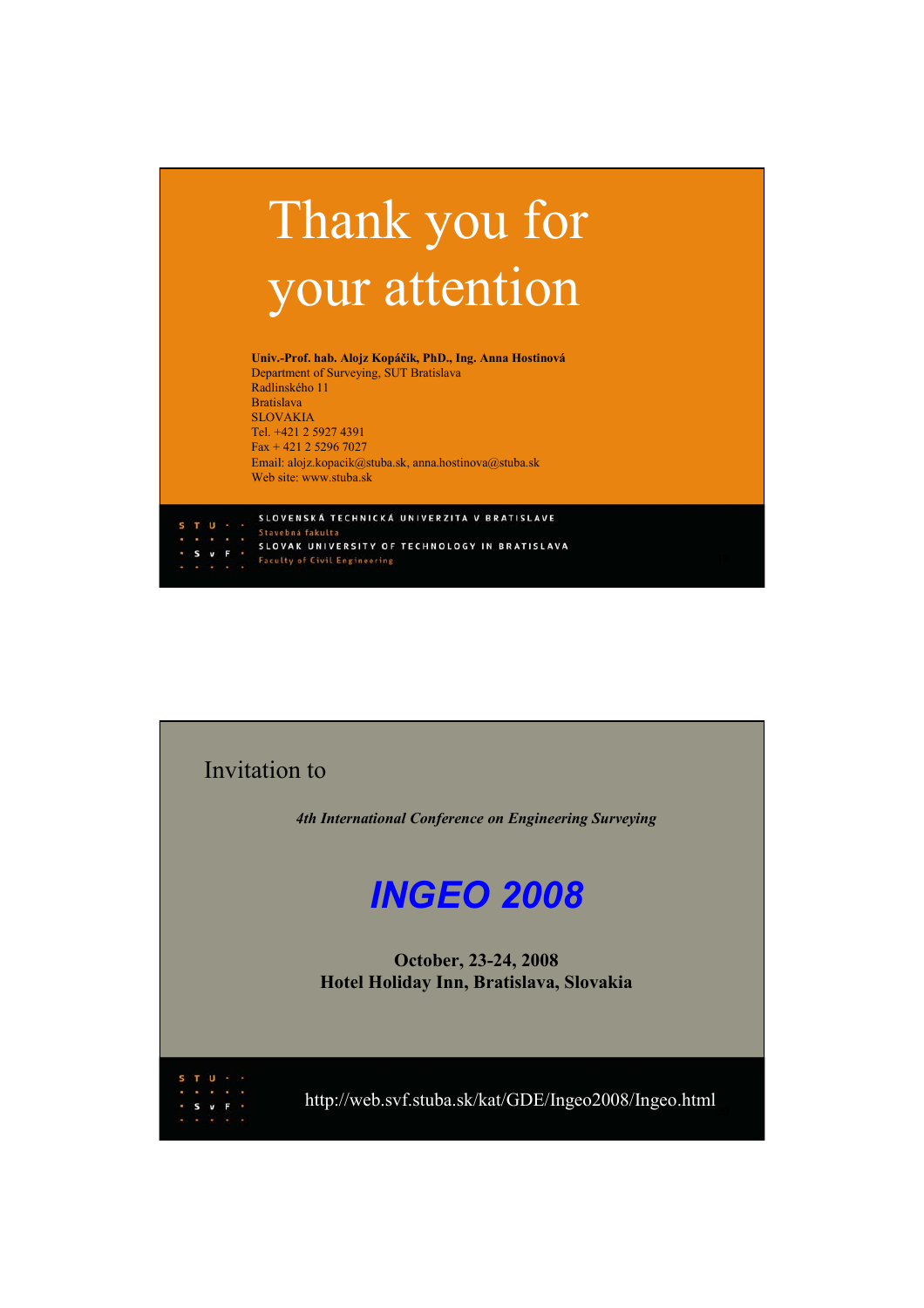## Thank you for your attention

**Univ.-Prof. hab. Alojz Kopáčik, PhD., Ing. Anna Hostinová** Department of Surveying, SUT Bratislava Radlinského 11 Bratislava SLOVAKIA Tel. +421 2 5927 4391 Fax + 421 2 5296 7027 Email: alojz.kopacik@stuba.sk, anna.hostinova@stuba.sk Web site: www.stuba.sk

SLOVENSKÁ TECHNICKÁ UNIVERZITA V BRATISLAVE SLOVAK UNIVERSITY OF TECHNOLOGY IN BRATISLAVA **Faculty of Civil Engineering**